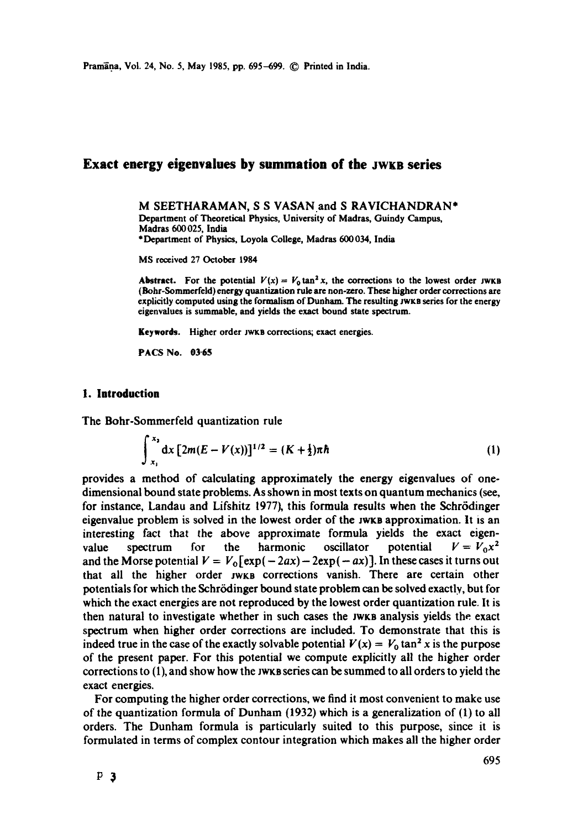# **Exact energy eigenvalues by summation of the JwKB series**

M SEETHARAMAN, S S VASAN and S RAVICHANDRAN\* Department of Theoretical Physics, University of Madras, Guindy Campus, Madras 600 025, India \*Department of Physics, Loyola College, Madras 600034, India

MS received 27 October 1984

**Abstract.** For the potential  $V(x) = V_0 \tan^2 x$ , the corrections to the lowest order JWKB (Bohr-Sommerfeld) energy quantization rule are non-zero. These higher order corrections **are**  explicitly computed using the formalism of Dunham. The resulting JwKs series for the energy eigenvalues is summable, and yields the exact bound state spectrum.

**Keywords.** Higher order JWKB corrections; exact energies.

PACS No. **03-65** 

## **1. Introduction**

The Bohr-Sommerfeld quantization rule

$$
\int_{x_1}^{x_2} dx \left[2m(E-V(x))\right]^{1/2} = (K+\frac{1}{2})\pi\hbar
$$
 (1)

provides a method of calculating approximately the energy eigenvalues of onedimensional bound state problems. As shown in most texts on quantum mechanics (see, for instance, Landau and Lifshitz 1977), this formula results when the Schrödinger eigenvalue problem is solved in the lowest order of the Jwre approximation. It is an interesting fact that the above approximate formula yields the exact eigenvalue spectrum for the harmonic oscillator potential  $V = V_0 x^2$ and the Morse potential  $V = V_0 \left[ exp(-2ax) - 2exp(-ax) \right]$ . In these cases it turns out that all the higher order JWKB corrections vanish. There are certain other potentials for which the Schr6dinger bound state problem can be solved exactly, but for which the exact energies are not reproduced by the lowest order quantization rule. It is then natural to investigate whether in such cases the JwKs analysis yields the exact spectrum when higher order corrections are included. To demonstrate that this is indeed true in the case of the exactly solvable potential  $V(x) = V_0 \tan^2 x$  is the purpose of the present paper. For this potential we compute explicitly all the higher order corrections to (1), and show how the jwx is series can be summed to all orders to yield the exact energies.

For computing the higher order corrections, we find it most convenient to make use of the quantization formula of Dunham (1932) which is a generalization of (1) to all orders. The Dunham formula is particularly suited to this purpose, since it is formulated in terms of complex contour integration which makes all the higher order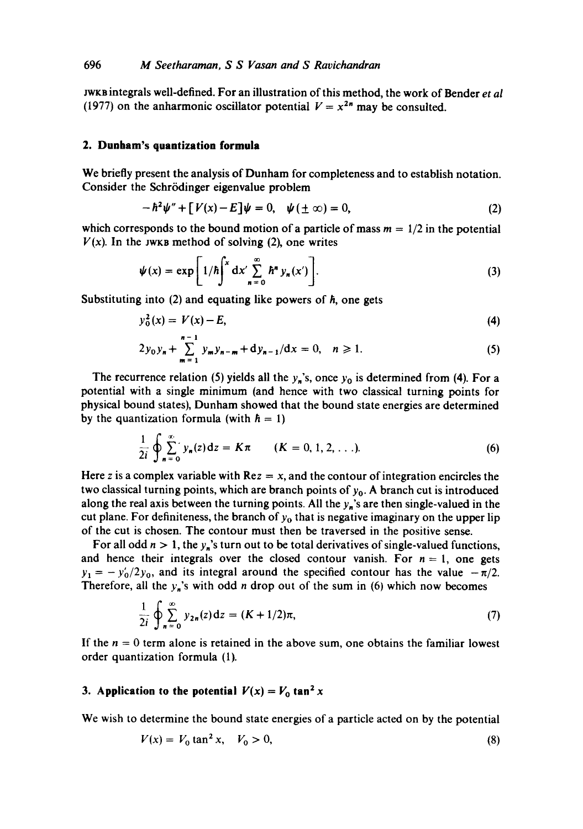JWKB integrals well-defined. For an illustration of this method, the work of Bender *et al*  (1977) on the anharmonic oscillator potential  $V = x^{2n}$  may be consulted.

### **2. Dunham's quantization formula**

We briefly present the analysis of Dunham for completeness and to establish notation. Consider the Schrödinger eigenvalue problem

$$
-\hbar^2\psi'' + [V(x)-E]\psi = 0, \quad \psi(\pm\infty) = 0,
$$
\n(2)

which corresponds to the bound motion of a particle of mass  $m = 1/2$  in the potential  $V(x)$ . In the JWKB method of solving (2), one writes

$$
\psi(x) = \exp\left[1/\hbar\int^x dx' \sum_{n=0}^{\infty} \hbar^n y_n(x')\right].
$$
 (3)

Substituting into  $(2)$  and equating like powers of  $\hbar$ , one gets

$$
y_0^2(x) = V(x) - E,\tag{4}
$$

$$
2y_0y_n + \sum_{m=1}^{n-1} y_my_{n-m} + dy_{n-1}/dx = 0, \quad n \ge 1.
$$
 (5)

The recurrence relation (5) yields all the  $y_n$ 's, once  $y_0$  is determined from (4). For a potential with a single minimum (and hence with two classical turning points for physical bound states), Dunham showed that the bound state energies are determined by the quantization formula (with  $\hbar = 1$ )

$$
\frac{1}{2i} \oint_{n=0}^{\infty} y_n(z) dz = K\pi \qquad (K = 0, 1, 2, ...).
$$
 (6)

Here z is a complex variable with  $Re z = x$ , and the contour of integration encircles the two classical turning points, which are branch points of  $y_0$ . A branch cut is introduced along the real axis between the turning points. All the  $y_n$ 's are then single-valued in the cut plane. For definiteness, the branch of  $y<sub>0</sub>$  that is negative imaginary on the upper lip of the cut is chosen. The contour must then be traversed in the positive sense.

For all odd  $n > 1$ , the  $y_n$ 's turn out to be total derivatives of single-valued functions, and hence their integrals over the closed contour vanish. For  $n = 1$ , one gets  $y_1 = -y'_0/2y_0$ , and its integral around the specified contour has the value  $-\pi/2$ . Therefore, all the  $y_n$ 's with odd *n* drop out of the sum in (6) which now becomes

$$
\frac{1}{2i} \oint_{n=0}^{\infty} y_{2n}(z) dz = (K + 1/2)\pi,
$$
 (7)

If the  $n = 0$  term alone is retained in the above sum, one obtains the familiar lowest order quantization formula (1).

# **3. Application to the potential**  $V(x) = V_0 \tan^2 x$

We wish to determine the bound state energies of a particle acted on by the potential

$$
V(x) = V_0 \tan^2 x, \quad V_0 > 0,
$$
\n(8)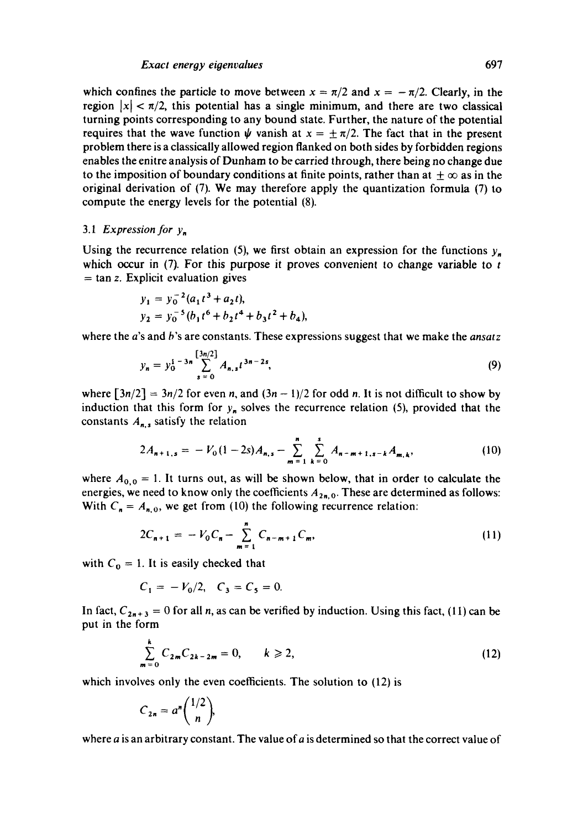### *Exact energy eigenvalues* 697

which confines the particle to move between  $x = \pi/2$  and  $x = -\pi/2$ . Clearly, in the region  $|x| < \pi/2$ , this potential has a single minimum, and there are two classical turning points corresponding to any bound state. Further, the nature of the potential requires that the wave function  $\psi$  vanish at  $x = \pm \pi/2$ . The fact that in the present problem there is a classically allowed region flanked on both sides by forbidden regions enables the enitre analysis of Dunham to be carried through, there being no change due to the imposition of boundary conditions at finite points, rather than at  $\pm \infty$  as in the original derivation of (7). We may therefore apply the quantization formula (7) to compute the energy levels for the potential (8).

# *3.1 Expression for Yn*

Using the recurrence relation (5), we first obtain an expression for the functions  $y_n$ which occur in  $(7)$ . For this purpose it proves convenient to change variable to t  $=$  tan z. Explicit evaluation gives

$$
y_1 = y_0^{-2} (a_1 t^3 + a_2 t),
$$
  
\n
$$
y_2 = y_0^{-5} (b_1 t^6 + b_2 t^4 + b_3 t^2 + b_4),
$$

where the a's and b's are constants. These expressions suggest that we make the *ansatz* 

$$
y_n = y_0^{1-3n} \sum_{s=0}^{\lfloor 3n/2 \rfloor} A_{n,s} t^{3n-2s}, \tag{9}
$$

where  $\left[\frac{3n}{2}\right] = \frac{3n}{2}$  for even n, and  $\left(\frac{3n-1}{2}\right)$  for odd n. It is not difficult to show by induction that this form for  $y_n$  solves the recurrence relation (5), provided that the constants  $A_{n,s}$  satisfy the relation

$$
2A_{n+1,s} = -V_0(1-2s)A_{n,s} - \sum_{m=1}^n \sum_{k=0}^s A_{n-m+1,s-k}A_{m,k},
$$
 (10)

where  $A_{0,0} = 1$ . It turns out, as will be shown below, that in order to calculate the energies, we need to know only the coefficients  $A_{2n,0}$ . These are determined as follows: With  $C_n = A_{n,0}$ , we get from (10) the following recurrence relation:

$$
2C_{n+1} = -V_0 C_n - \sum_{m=1}^n C_{n-m+1} C_m, \qquad (11)
$$

with  $C_0 = 1$ . It is easily checked that

$$
C_1 = -V_0/2
$$
,  $C_3 = C_5 = 0$ .

In fact,  $C_{2n+3} = 0$  for all n, as can be verified by induction. Using this fact, (11) can be put in the form

$$
\sum_{m=0}^{k} C_{2m} C_{2k-2m} = 0, \qquad k \geq 2,
$$
\n(12)

which involves only the even coefficients. The solution to  $(12)$  is

$$
C_{2n}=a^n\binom{1/2}{n}.
$$

where  $a$  is an arbitrary constant. The value of  $a$  is determined so that the correct value of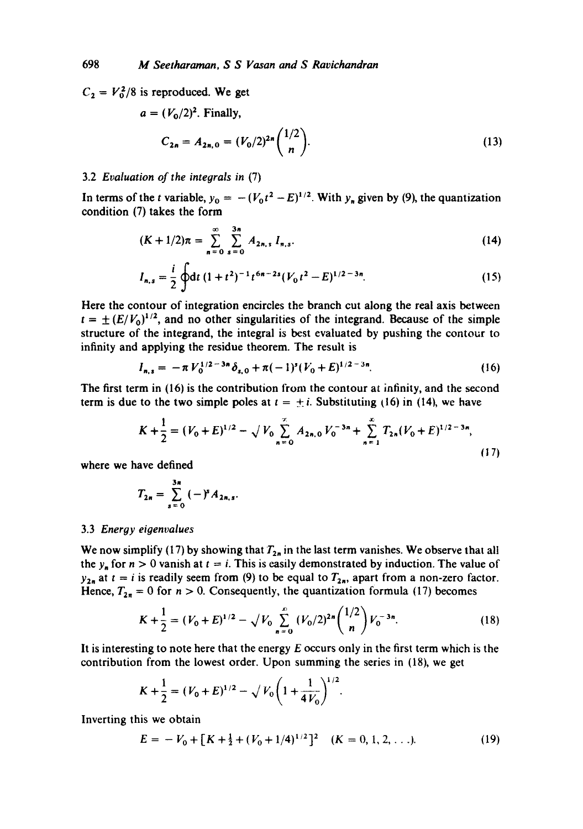$C_2 = V_0^2/8$  is reproduced. We get

$$
a = (V_0/2)^2
$$
. Finally,  

$$
C_{2n} = A_{2n,0} = (V_0/2)^{2n} {1/2 \choose n}.
$$
 (13)

### 3.2 *Evaluation of the integrals in* (7)

In terms of the t variable,  $y_0 = -(V_0 t^2 - E)^{1/2}$ . With  $y_n$  given by (9), the quantization condition (7) takes the form

$$
(K+1/2)\pi = \sum_{n=0}^{\infty} \sum_{s=0}^{3n} A_{2n,s} I_{n,s}.
$$
 (14)

$$
I_{n,s} = \frac{i}{2} \oint dt (1+t^2)^{-1} t^{6n-2s} (V_0 t^2 - E)^{1/2-3n}.
$$
 (15)

Here the contour of integration encircles the branch cut along the real axis between  $t = \pm (E/V_0)^{1/2}$ , and no other singularities of the integrand. Because of the simple structure of the integrand, the integral is best evaluated by pushing the contour to infinity and applying the residue theorem. The result is

$$
I_{n,s} = -\pi V_0^{1/2-3n} \delta_{s,0} + \pi (-1)^s (V_0 + E)^{1/2-3n}.
$$
 (16)

The first term in (16) is the contribution from the contour at infinity, and the second term is due to the two simple poles at  $t = \pm i$ . Substituting (16) in (14), we have

$$
K + \frac{1}{2} = (V_0 + E)^{1/2} - \sqrt{V_0} \sum_{n=0}^{\infty} A_{2n,0} V_0^{-3n} + \sum_{n=1}^{\infty} T_{2n} (V_0 + E)^{1/2 - 3n},
$$
\n(17)

where we have defined

$$
T_{2n} = \sum_{s=0}^{3n} (-)^{s} A_{2n,s}.
$$

### 3.3 *Energy eigenvalues*

We now simplify (17) by showing that  $T_{2n}$  in the last term vanishes. We observe that all the  $y_n$  for  $n > 0$  vanish at  $t = i$ . This is easily demonstrated by induction. The value of  $y_{2n}$  at  $t = i$  is readily seem from (9) to be equal to  $T_{2n}$ , apart from a non-zero factor. Hence,  $T_{2n} = 0$  for  $n > 0$ . Consequently, the quantization formula (17) becomes

$$
K + \frac{1}{2} = (V_0 + E)^{1/2} - \sqrt{V_0} \sum_{n=0}^{\infty} (V_0/2)^{2n} {1/2 \choose n} V_0^{-3n}.
$$
 (18)

It is interesting to note here that the energy  $E$  occurs only in the first term which is the contribution from the lowest order. Upon summing the series in (18), we get

$$
K + \frac{1}{2} = (V_0 + E)^{1/2} - \sqrt{V_0 \left(1 + \frac{1}{4V_0}\right)^{1/2}}
$$

Inverting this we obtain

$$
E = -V_0 + [K + \frac{1}{2} + (V_0 + 1/4)^{1/2}]^2 \quad (K = 0, 1, 2, ...).
$$
 (19)